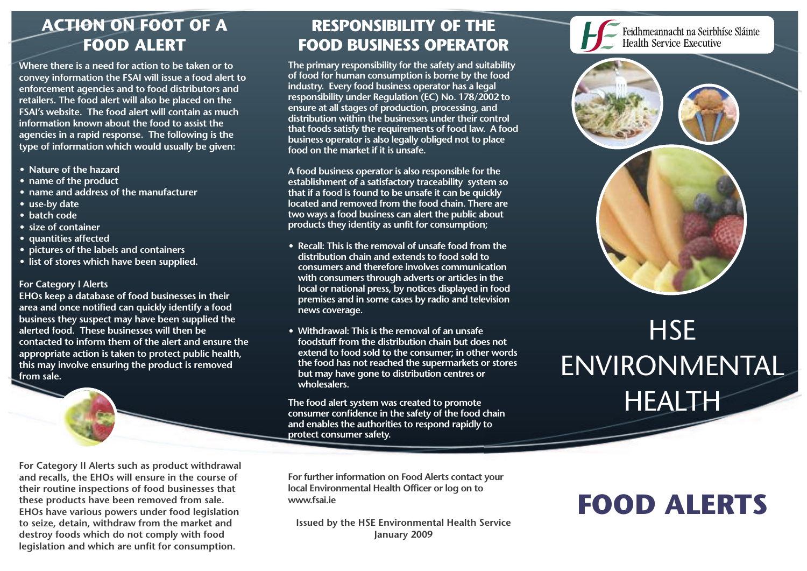# **ACTION ON FOOT OF A FOOD ALERT**

**Where there is a need for action to be taken or to convey information the FSAI will issue a food alert to enforcement agencies and to food distributors and retailers. The food alert will also be placed on the FSAI's website. The food alert will contain as much information known about the food to assist the agencies in a rapid response. The following is the type of information which would usually be given:**

- **• Nature of the hazard**
- **• name of the product**
- **• name and address of the manufacturer**
- **• use-by date**
- **• batch code**
- **• size of container**
- **• quantities affected**
- **• pictures of the labels and containers**
- **• list of stores which have been supplied.**

#### **For Category I Alerts**

**EHOs keep a database of food businesses in their area and once notified can quickly identify a food business they suspect may have been supplied the alerted food. These businesses will then be contacted to inform them of the alert and ensure the appropriate action is taken to protect public health, this may involve ensuring the product is removed from sale.**

### **RESPONSIBILITY OF THE FOOD BUSINESS OPERATOR**

**The primary responsibility for the safety and suitability of food for human consumption is borne by the food industry. Every food business operator has a legal responsibility under Regulation (EC) No. 178/2002 to ensure at all stages of production, processing, and distribution within the businesses under their control that foods satisfy the requirements of food law. A food business operator is also legally obliged not to place food on the market if it is unsafe.**

**A food business operator is also responsible for the establishment of a satisfactory traceability system so that if a food is found to be unsafe it can be quickly located and removed from the food chain. There are two ways a food business can alert the public about products they identity as unfit for consumption;**

- **• Recall: This is the removal of unsafe food from the distribution chain and extends to food sold to consumers and therefore involves communication with consumers through adverts or articles in the local or national press, by notices displayed in food premises and in some cases by radio and television news coverage.**
- **• Withdrawal: This is the removal of an unsafe foodstuff from the distribution chain but does not extend to food sold to the consumer; in other words the food has not reached the supermarkets or stores but may have gone to distribution centres or wholesalers.**

**The food alert system was created to promote consumer confidence in the safety of the food chain and enables the authorities to respond rapidly to protect consumer safety.**

**For Category II Alerts such as product withdrawal and recalls, the EHOs will ensure in the course of their routine inspections of food businesses that these products have been removed from sale. EHOs have various powers under food legislation to seize, detain, withdraw from the market and destroy foods which do not comply with food legislation and which are unfit for consumption.**

**For further information on Food Alerts contact your local Environmental Health Officer or log on to www.fsai.ie**

**Issued by the HSE Environmental Health Service January 2009**

# **FOOD ALERTS**

**HSE** 

Feidhmeannacht na Seirbhíse Sláinte

**Health Service Executive** 

ENVIRONMENTAL

**HEALTH**